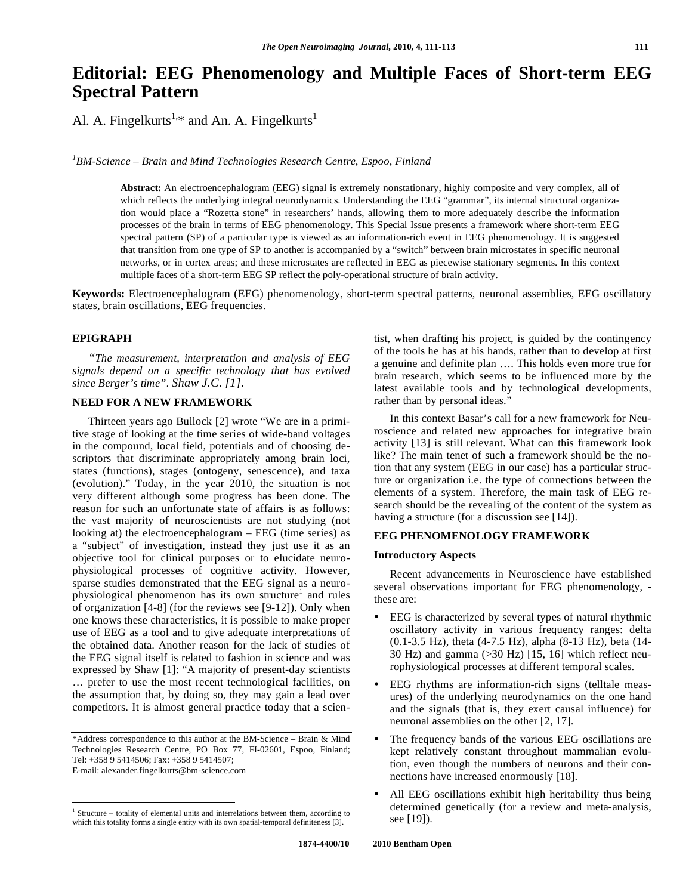# **Editorial: EEG Phenomenology and Multiple Faces of Short-term EEG Spectral Pattern**

Al. A. Fingelkurts<sup>1,\*</sup> and An. A. Fingelkurts<sup>1</sup>

<sup>1</sup>BM-Science – Brain and Mind Technologies Research Centre, Espoo, Finland

**Abstract:** An electroencephalogram (EEG) signal is extremely nonstationary, highly composite and very complex, all of which reflects the underlying integral neurodynamics. Understanding the EEG "grammar", its internal structural organization would place a "Rozetta stone" in researchers' hands, allowing them to more adequately describe the information processes of the brain in terms of EEG phenomenology. This Special Issue presents a framework where short-term EEG spectral pattern (SP) of a particular type is viewed as an information-rich event in EEG phenomenology. It is suggested that transition from one type of SP to another is accompanied by a "switch" between brain microstates in specific neuronal networks, or in cortex areas; and these microstates are reflected in EEG as piecewise stationary segments. In this context multiple faces of a short-term EEG SP reflect the poly-operational structure of brain activity.

**Keywords:** Electroencephalogram (EEG) phenomenology, short-term spectral patterns, neuronal assemblies, EEG oscillatory states, brain oscillations, EEG frequencies.

## **EPIGRAPH**

 *"The measurement, interpretation and analysis of EEG signals depend on a specific technology that has evolved since Berger's time". Shaw J.C. [1].*

### **NEED FOR A NEW FRAMEWORK**

 Thirteen years ago Bullock [2] wrote "We are in a primitive stage of looking at the time series of wide-band voltages in the compound, local field, potentials and of choosing descriptors that discriminate appropriately among brain loci, states (functions), stages (ontogeny, senescence), and taxa (evolution)." Today, in the year 2010, the situation is not very different although some progress has been done. The reason for such an unfortunate state of affairs is as follows: the vast majority of neuroscientists are not studying (not looking at) the electroencephalogram – EEG (time series) as a "subject" of investigation, instead they just use it as an objective tool for clinical purposes or to elucidate neurophysiological processes of cognitive activity. However, sparse studies demonstrated that the EEG signal as a neurophysiological phenomenon has its own structure<sup>1</sup> and rules of organization [4-8] (for the reviews see [9-12]). Only when one knows these characteristics, it is possible to make proper use of EEG as a tool and to give adequate interpretations of the obtained data. Another reason for the lack of studies of the EEG signal itself is related to fashion in science and was expressed by Shaw [1]: "A majority of present-day scientists … prefer to use the most recent technological facilities, on the assumption that, by doing so, they may gain a lead over competitors. It is almost general practice today that a scien-

1

tist, when drafting his project, is guided by the contingency of the tools he has at his hands, rather than to develop at first a genuine and definite plan …. This holds even more true for brain research, which seems to be influenced more by the latest available tools and by technological developments, rather than by personal ideas."

 In this context Basar's call for a new framework for Neuroscience and related new approaches for integrative brain activity [13] is still relevant. What can this framework look like? The main tenet of such a framework should be the notion that any system (EEG in our case) has a particular structure or organization i.e. the type of connections between the elements of a system. Therefore, the main task of EEG research should be the revealing of the content of the system as having a structure (for a discussion see [14]).

#### **EEG PHENOMENOLOGY FRAMEWORK**

#### **Introductory Aspects**

 Recent advancements in Neuroscience have established several observations important for EEG phenomenology, these are:

- EEG is characterized by several types of natural rhythmic oscillatory activity in various frequency ranges: delta (0.1-3.5 Hz), theta (4-7.5 Hz), alpha (8-13 Hz), beta (14- 30 Hz) and gamma (>30 Hz) [15, 16] which reflect neurophysiological processes at different temporal scales.
- EEG rhythms are information-rich signs (telltale measures) of the underlying neurodynamics on the one hand and the signals (that is, they exert causal influence) for neuronal assemblies on the other [2, 17].
- The frequency bands of the various EEG oscillations are kept relatively constant throughout mammalian evolution, even though the numbers of neurons and their connections have increased enormously [18].
- All EEG oscillations exhibit high heritability thus being determined genetically (for a review and meta-analysis, see [19]).

<sup>\*</sup>Address correspondence to this author at the BM-Science – Brain & Mind Technologies Research Centre, PO Box 77, FI-02601, Espoo, Finland; Tel: +358 9 5414506; Fax: +358 9 5414507;

E-mail: alexander.fingelkurts@bm-science.com

<sup>&</sup>lt;sup>1</sup> Structure – totality of elemental units and interrelations between them, according to which this totality forms a single entity with its own spatial-temporal definiteness [3].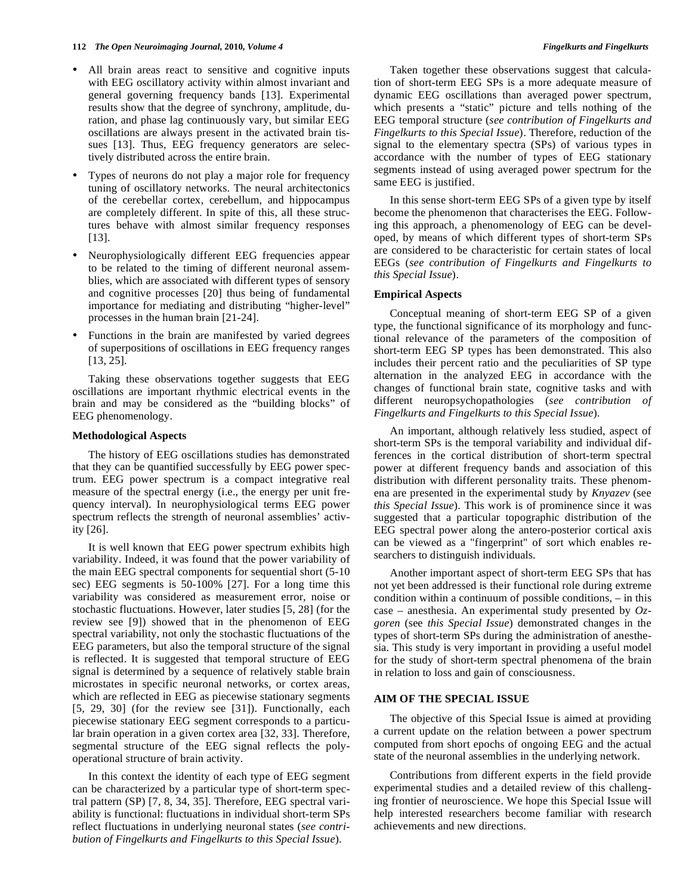- All brain areas react to sensitive and cognitive inputs with EEG oscillatory activity within almost invariant and general governing frequency bands [13]. Experimental results show that the degree of synchrony, amplitude, duration, and phase lag continuously vary, but similar EEG oscillations are always present in the activated brain tissues [13]. Thus, EEG frequency generators are selectively distributed across the entire brain.
- Types of neurons do not play a major role for frequency tuning of oscillatory networks. The neural architectonics of the cerebellar cortex, cerebellum, and hippocampus are completely different. In spite of this, all these structures behave with almost similar frequency responses [13].
- Neurophysiologically different EEG frequencies appear to be related to the timing of different neuronal assemblies, which are associated with different types of sensory and cognitive processes [20] thus being of fundamental importance for mediating and distributing "higher-level" processes in the human brain [21-24].
- Functions in the brain are manifested by varied degrees of superpositions of oscillations in EEG frequency ranges [13, 25].

 Taking these observations together suggests that EEG oscillations are important rhythmic electrical events in the brain and may be considered as the "building blocks" of EEG phenomenology.

#### **Methodological Aspects**

 The history of EEG oscillations studies has demonstrated that they can be quantified successfully by EEG power spectrum. EEG power spectrum is a compact integrative real measure of the spectral energy (i.e., the energy per unit frequency interval). In neurophysiological terms EEG power spectrum reflects the strength of neuronal assemblies' activity [26].

 It is well known that EEG power spectrum exhibits high variability. Indeed, it was found that the power variability of the main EEG spectral components for sequential short (5-10 sec) EEG segments is 50-100% [27]. For a long time this variability was considered as measurement error, noise or stochastic fluctuations. However, later studies [5, 28] (for the review see [9]) showed that in the phenomenon of EEG spectral variability, not only the stochastic fluctuations of the EEG parameters, but also the temporal structure of the signal is reflected. It is suggested that temporal structure of EEG signal is determined by a sequence of relatively stable brain microstates in specific neuronal networks, or cortex areas, which are reflected in EEG as piecewise stationary segments [5, 29, 30] (for the review see [31]). Functionally, each piecewise stationary EEG segment corresponds to a particular brain operation in a given cortex area [32, 33]. Therefore, segmental structure of the EEG signal reflects the polyoperational structure of brain activity.

 In this context the identity of each type of EEG segment can be characterized by a particular type of short-term spectral pattern (SP) [7, 8, 34, 35]. Therefore, EEG spectral variability is functional: fluctuations in individual short-term SPs reflect fluctuations in underlying neuronal states (*see contribution of Fingelkurts and Fingelkurts to this Special Issue*).

 Taken together these observations suggest that calculation of short-term EEG SPs is a more adequate measure of dynamic EEG oscillations than averaged power spectrum, which presents a "static" picture and tells nothing of the EEG temporal structure (*see contribution of Fingelkurts and Fingelkurts to this Special Issue*). Therefore, reduction of the signal to the elementary spectra (SPs) of various types in accordance with the number of types of EEG stationary segments instead of using averaged power spectrum for the same EEG is justified.

 In this sense short-term EEG SPs of a given type by itself become the phenomenon that characterises the EEG. Following this approach, a phenomenology of EEG can be developed, by means of which different types of short-term SPs are considered to be characteristic for certain states of local EEGs (*see contribution of Fingelkurts and Fingelkurts to this Special Issue*).

#### **Empirical Aspects**

 Conceptual meaning of short-term EEG SP of a given type, the functional significance of its morphology and functional relevance of the parameters of the composition of short-term EEG SP types has been demonstrated. This also includes their percent ratio and the peculiarities of SP type alternation in the analyzed EEG in accordance with the changes of functional brain state, cognitive tasks and with different neuropsychopathologies (*see contribution of Fingelkurts and Fingelkurts to this Special Issue*).

 An important, although relatively less studied, aspect of short-term SPs is the temporal variability and individual differences in the cortical distribution of short-term spectral power at different frequency bands and association of this distribution with different personality traits. These phenomena are presented in the experimental study by *Knyazev* (see *this Special Issue*). This work is of prominence since it was suggested that a particular topographic distribution of the EEG spectral power along the antero-posterior cortical axis can be viewed as a "fingerprint" of sort which enables researchers to distinguish individuals.

 Another important aspect of short-term EEG SPs that has not yet been addressed is their functional role during extreme condition within a continuum of possible conditions, – in this case – anesthesia. An experimental study presented by *Ozgoren* (see *this Special Issue*) demonstrated changes in the types of short-term SPs during the administration of anesthesia. This study is very important in providing a useful model for the study of short-term spectral phenomena of the brain in relation to loss and gain of consciousness.

#### **AIM OF THE SPECIAL ISSUE**

 The objective of this Special Issue is aimed at providing a current update on the relation between a power spectrum computed from short epochs of ongoing EEG and the actual state of the neuronal assemblies in the underlying network.

 Contributions from different experts in the field provide experimental studies and a detailed review of this challenging frontier of neuroscience. We hope this Special Issue will help interested researchers become familiar with research achievements and new directions.